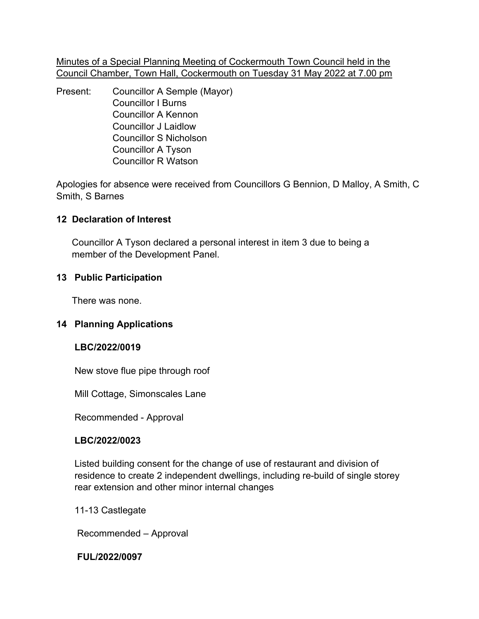Minutes of a Special Planning Meeting of Cockermouth Town Council held in the Council Chamber, Town Hall, Cockermouth on Tuesday 31 May 2022 at 7.00 pm

Present: Councillor A Semple (Mayor) Councillor I Burns Councillor A Kennon Councillor J Laidlow Councillor S Nicholson Councillor A Tyson Councillor R Watson

Apologies for absence were received from Councillors G Bennion, D Malloy, A Smith, C Smith, S Barnes

# **12 Declaration of Interest**

 Councillor A Tyson declared a personal interest in item 3 due to being a member of the Development Panel.

# **13 Public Participation**

There was none.

# **14 Planning Applications**

### **LBC/2022/0019**

New stove flue pipe through roof

Mill Cottage, Simonscales Lane

Recommended - Approval

### **LBC/2022/0023**

 Listed building consent for the change of use of restaurant and division of residence to create 2 independent dwellings, including re-build of single storey rear extension and other minor internal changes

11-13 Castlegate

Recommended – Approval

**FUL/2022/0097**